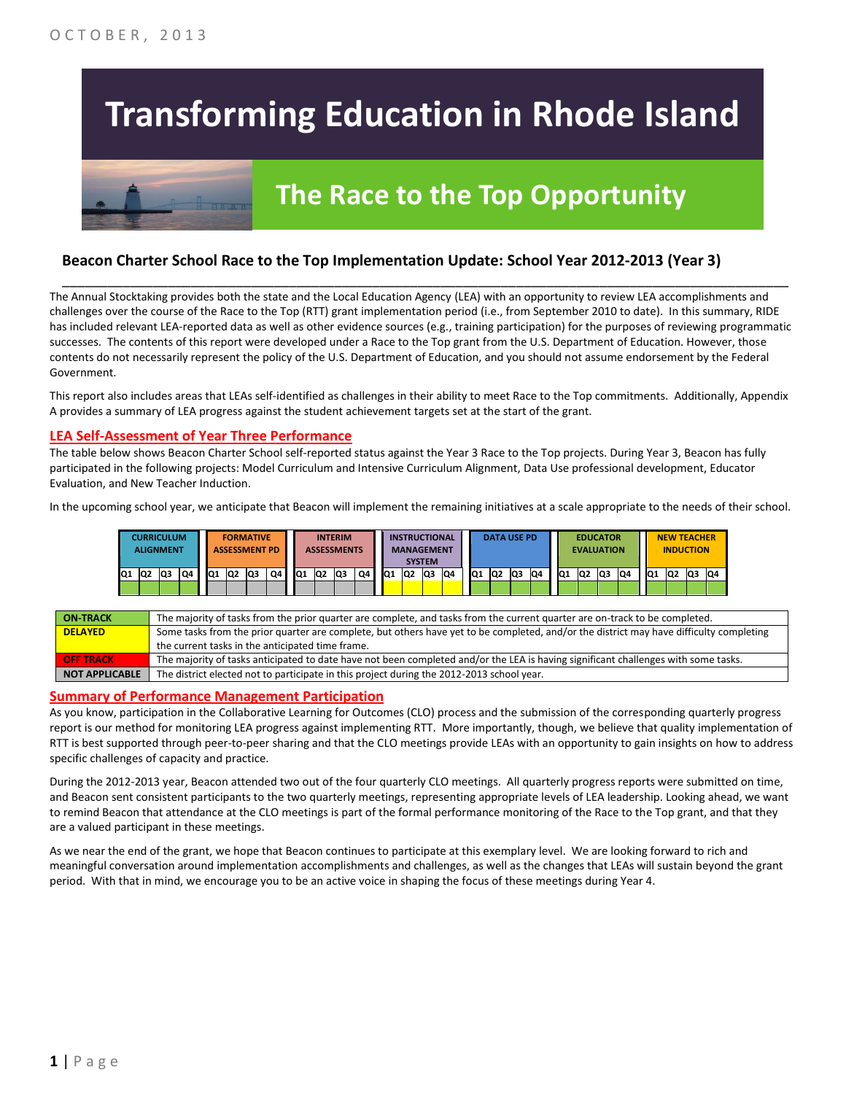# **Transforming Education in Rhode Island**

## **The Race to the Top Opportunity**

#### **Beacon Charter School Race to the Top Implementation Update: School Year 2012-2013 (Year 3)**

The Annual Stocktaking provides both the state and the Local Education Agency (LEA) with an opportunity to review LEA accomplishments and challenges over the course of the Race to the Top (RTT) grant implementation period (i.e., from September 2010 to date). In this summary, RIDE has included relevant LEA-reported data as well as other evidence sources (e.g., training participation) for the purposes of reviewing programmatic successes. The contents of this report were developed under a Race to the Top grant from the U.S. Department of Education. However, those contents do not necessarily represent the policy of the U.S. Department of Education, and you should not assume endorsement by the Federal Government.

\_\_\_\_\_\_\_\_\_\_\_\_\_\_\_\_\_\_\_\_\_\_\_\_\_\_\_\_\_\_\_\_\_\_\_\_\_\_\_\_\_\_\_\_\_\_\_\_\_\_\_\_\_\_\_\_\_\_\_\_\_\_\_\_\_\_\_\_\_\_\_\_\_\_\_\_\_\_\_\_\_\_\_\_\_\_\_\_\_\_\_\_\_\_\_\_

This report also includes areas that LEAs self-identified as challenges in their ability to meet Race to the Top commitments. Additionally, Appendix A provides a summary of LEA progress against the student achievement targets set at the start of the grant.

#### **LEA Self-Assessment of Year Three Performance**

The table below shows Beacon Charter School self-reported status against the Year 3 Race to the Top projects. During Year 3, Beacon has fully participated in the following projects: Model Curriculum and Intensive Curriculum Alignment, Data Use professional development, Educator Evaluation, and New Teacher Induction.

In the upcoming school year, we anticipate that Beacon will implement the remaining initiatives at a scale appropriate to the needs of their school.

|     | <b>CURRICULUM</b><br><b>ALIGNMENT</b> |    |    |                 | <b>FORMATIVE</b><br><b>ASSESSMENT PD</b> |     |    |                 |                 | <b>INTERIM</b><br><b>ASSESSMENTS</b> |    |     |                | <b>INSTRUCTIONAL</b><br><b>MANAGEMENT</b><br><b>SYSTEM</b> |    |                 |    | <b>DATA USE PD</b> |    |     | <b>EVALUATION</b> | <b>EDUCATOR</b> |    |                 | <b>NEW TEACHER</b><br><b>INDUCTION</b> |     |    |
|-----|---------------------------------------|----|----|-----------------|------------------------------------------|-----|----|-----------------|-----------------|--------------------------------------|----|-----|----------------|------------------------------------------------------------|----|-----------------|----|--------------------|----|-----|-------------------|-----------------|----|-----------------|----------------------------------------|-----|----|
| lQ1 | Q2                                    | Q3 | Q4 | IQ <sub>1</sub> | lQ <sub>2</sub>                          | lQ3 | Q4 | IQ <sub>1</sub> | IQ <sub>2</sub> | lQ3                                  | Q4 | lQ1 | Q <sub>2</sub> | lQ3                                                        | Q4 | IQ <sub>1</sub> | Q2 | Q3                 | Q4 | IQ1 | Q <sub>2</sub>    | lQ3             | Q4 | IQ <sub>1</sub> | IQ <sub>2</sub>                        | lQ3 | Q4 |
|     |                                       |    |    |                 |                                          |     |    |                 |                 |                                      |    |     |                |                                                            |    |                 |    |                    |    |     |                   |                 |    |                 |                                        |     |    |

| <b>ON TRACK</b>       | The majority of tasks from the prior quarter are complete, and tasks from the current quarter are on-track to be completed.             |
|-----------------------|-----------------------------------------------------------------------------------------------------------------------------------------|
| <b>DELAYED</b>        | Some tasks from the prior quarter are complete, but others have yet to be completed, and/or the district may have difficulty completing |
|                       | the current tasks in the anticipated time frame.                                                                                        |
| <b>OFF TRACK</b>      | The majority of tasks anticipated to date have not been completed and/or the LEA is having significant challenges with some tasks.      |
| <b>NOT APPLICABLE</b> | The district elected not to participate in this project during the 2012-2013 school year.                                               |

#### **Summary of Performance Management Participation**

As you know, participation in the Collaborative Learning for Outcomes (CLO) process and the submission of the corresponding quarterly progress report is our method for monitoring LEA progress against implementing RTT. More importantly, though, we believe that quality implementation of RTT is best supported through peer-to-peer sharing and that the CLO meetings provide LEAs with an opportunity to gain insights on how to address specific challenges of capacity and practice.

During the 2012-2013 year, Beacon attended two out of the four quarterly CLO meetings. All quarterly progress reports were submitted on time, and Beacon sent consistent participants to the two quarterly meetings, representing appropriate levels of LEA leadership. Looking ahead, we want to remind Beacon that attendance at the CLO meetings is part of the formal performance monitoring of the Race to the Top grant, and that they are a valued participant in these meetings.

As we near the end of the grant, we hope that Beacon continues to participate at this exemplary level. We are looking forward to rich and meaningful conversation around implementation accomplishments and challenges, as well as the changes that LEAs will sustain beyond the grant period. With that in mind, we encourage you to be an active voice in shaping the focus of these meetings during Year 4.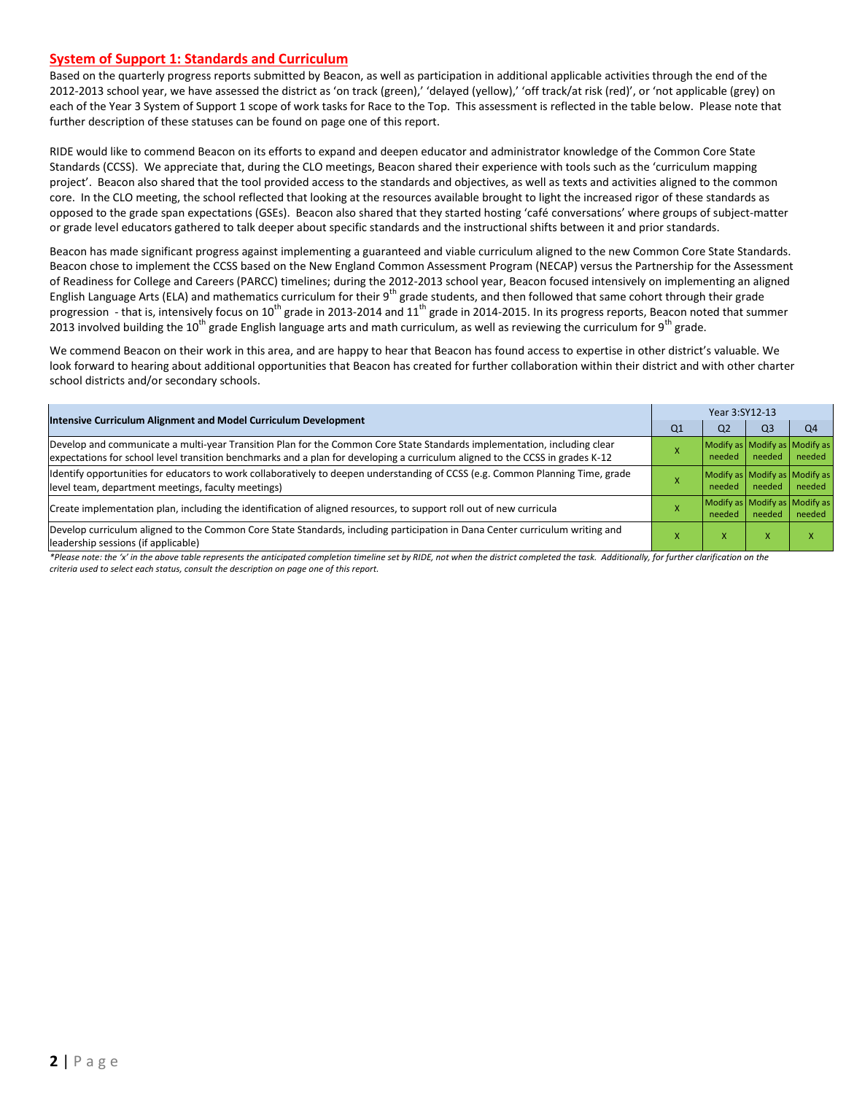#### **System of Support 1: Standards and Curriculum**

Based on the quarterly progress reports submitted by Beacon, as well as participation in additional applicable activities through the end of the 2012-2013 school year, we have assessed the district as 'on track (green),' 'delayed (yellow),' 'off track/at risk (red)', or 'not applicable (grey) on each of the Year 3 System of Support 1 scope of work tasks for Race to the Top. This assessment is reflected in the table below. Please note that further description of these statuses can be found on page one of this report.

RIDE would like to commend Beacon on its efforts to expand and deepen educator and administrator knowledge of the Common Core State Standards (CCSS). We appreciate that, during the CLO meetings, Beacon shared their experience with tools such as the 'curriculum mapping project'. Beacon also shared that the tool provided access to the standards and objectives, as well as texts and activities aligned to the common core. In the CLO meeting, the school reflected that looking at the resources available brought to light the increased rigor of these standards as opposed to the grade span expectations (GSEs). Beacon also shared that they started hosting 'café conversations' where groups of subject-matter or grade level educators gathered to talk deeper about specific standards and the instructional shifts between it and prior standards.

Beacon has made significant progress against implementing a guaranteed and viable curriculum aligned to the new Common Core State Standards. Beacon chose to implement the CCSS based on the New England Common Assessment Program (NECAP) versus the Partnership for the Assessment of Readiness for College and Careers (PARCC) timelines; during the 2012-2013 school year, Beacon focused intensively on implementing an aligned English Language Arts (ELA) and mathematics curriculum for their  $9^{th}$  grade students, and then followed that same cohort through their grade progression - that is, intensively focus on 10<sup>th</sup> grade in 2013-2014 and 11<sup>th</sup> grade in 2014-2015. In its progress reports, Beacon noted that summer 2013 involved building the 10<sup>th</sup> grade English language arts and math curriculum, as well as reviewing the curriculum for 9<sup>th</sup> grade.

We commend Beacon on their work in this area, and are happy to hear that Beacon has found access to expertise in other district's valuable. We look forward to hearing about additional opportunities that Beacon has created for further collaboration within their district and with other charter school districts and/or secondary schools.

| <b>Intensive Curriculum Alignment and Model Curriculum Development</b>                                                                                                                                                                                    | Year 3:SY12-13 |                                         |                |                |  |  |
|-----------------------------------------------------------------------------------------------------------------------------------------------------------------------------------------------------------------------------------------------------------|----------------|-----------------------------------------|----------------|----------------|--|--|
|                                                                                                                                                                                                                                                           | Q1             | Q <sub>2</sub>                          | Q <sub>3</sub> | Q <sub>4</sub> |  |  |
| Develop and communicate a multi-year Transition Plan for the Common Core State Standards implementation, including clear<br>expectations for school level transition benchmarks and a plan for developing a curriculum aligned to the CCSS in grades K-12 |                | Modify as Modify as Modify as<br>needed | needed         | needed         |  |  |
| Identify opportunities for educators to work collaboratively to deepen understanding of CCSS (e.g. Common Planning Time, grade<br>level team, department meetings, faculty meetings)                                                                      |                | Modify as Modify as Modify as<br>needed | needed         | needed         |  |  |
| Create implementation plan, including the identification of aligned resources, to support roll out of new curricula                                                                                                                                       |                | Modify as Modify as Modify as<br>needed | needed         | needed         |  |  |
| Develop curriculum aligned to the Common Core State Standards, including participation in Dana Center curriculum writing and<br>leadership sessions (if applicable)                                                                                       |                | x                                       | x              |                |  |  |

*\*Please note: the 'x' in the above table represents the anticipated completion timeline set by RIDE, not when the district completed the task. Additionally, for further clarification on the criteria used to select each status, consult the description on page one of this report.*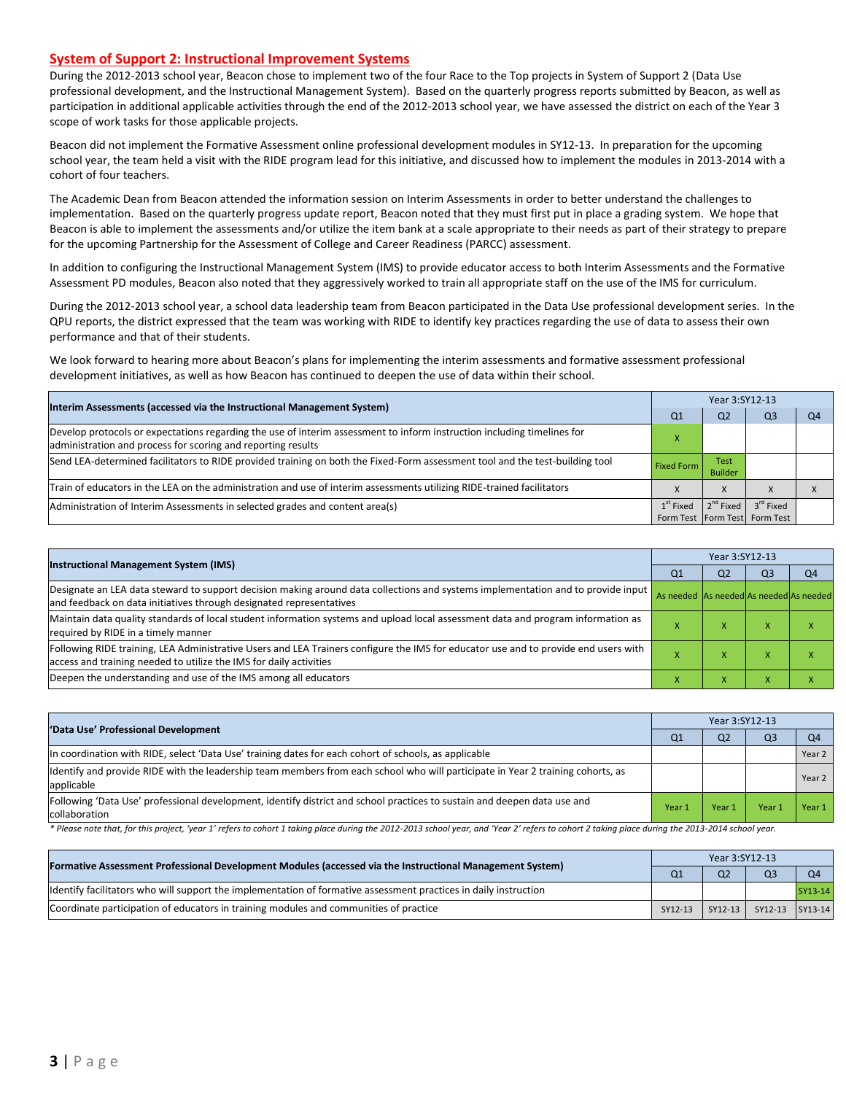#### **System of Support 2: Instructional Improvement Systems**

During the 2012-2013 school year, Beacon chose to implement two of the four Race to the Top projects in System of Support 2 (Data Use professional development, and the Instructional Management System). Based on the quarterly progress reports submitted by Beacon, as well as participation in additional applicable activities through the end of the 2012-2013 school year, we have assessed the district on each of the Year 3 scope of work tasks for those applicable projects.

Beacon did not implement the Formative Assessment online professional development modules in SY12-13. In preparation for the upcoming school year, the team held a visit with the RIDE program lead for this initiative, and discussed how to implement the modules in 2013-2014 with a cohort of four teachers.

The Academic Dean from Beacon attended the information session on Interim Assessments in order to better understand the challenges to implementation. Based on the quarterly progress update report, Beacon noted that they must first put in place a grading system. We hope that Beacon is able to implement the assessments and/or utilize the item bank at a scale appropriate to their needs as part of their strategy to prepare for the upcoming Partnership for the Assessment of College and Career Readiness (PARCC) assessment.

In addition to configuring the Instructional Management System (IMS) to provide educator access to both Interim Assessments and the Formative Assessment PD modules, Beacon also noted that they aggressively worked to train all appropriate staff on the use of the IMS for curriculum.

During the 2012-2013 school year, a school data leadership team from Beacon participated in the Data Use professional development series. In the QPU reports, the district expressed that the team was working with RIDE to identify key practices regarding the use of data to assess their own performance and that of their students.

We look forward to hearing more about Beacon's plans for implementing the interim assessments and formative assessment professional development initiatives, as well as how Beacon has continued to deepen the use of data within their school.

| Interim Assessments (accessed via the Instructional Management System)                                                                                                                  |                   |                        | Year 3:SY12-13                                             |  |  |  |  |  |
|-----------------------------------------------------------------------------------------------------------------------------------------------------------------------------------------|-------------------|------------------------|------------------------------------------------------------|--|--|--|--|--|
|                                                                                                                                                                                         | Q1                | Q <sub>2</sub>         | Q3                                                         |  |  |  |  |  |
| Develop protocols or expectations regarding the use of interim assessment to inform instruction including timelines for<br>administration and process for scoring and reporting results |                   |                        |                                                            |  |  |  |  |  |
| Send LEA-determined facilitators to RIDE provided training on both the Fixed-Form assessment tool and the test-building tool                                                            | <b>Fixed Form</b> | Test<br><b>Builder</b> |                                                            |  |  |  |  |  |
| Train of educators in the LEA on the administration and use of interim assessments utilizing RIDE-trained facilitators                                                                  |                   | $\Lambda$              |                                                            |  |  |  |  |  |
| Administration of Interim Assessments in selected grades and content area(s)                                                                                                            | $1st$ Fixed       | $2^{nd}$ Fixed         | 3 <sup>rd</sup> Fixed<br>Form Test   Form Test   Form Test |  |  |  |  |  |

| <b>Instructional Management System (IMS)</b>                                                                                                                                                              |                                         | Year 3:SY12-13 |                |                |  |  |  |  |
|-----------------------------------------------------------------------------------------------------------------------------------------------------------------------------------------------------------|-----------------------------------------|----------------|----------------|----------------|--|--|--|--|
|                                                                                                                                                                                                           | Q <sub>1</sub>                          | Q2             | Q <sub>3</sub> | Q <sub>4</sub> |  |  |  |  |
| Designate an LEA data steward to support decision making around data collections and systems implementation and to provide input<br>and feedback on data initiatives through designated representatives   | As needed As needed As needed As needed |                |                |                |  |  |  |  |
| Maintain data quality standards of local student information systems and upload local assessment data and program information as<br>required by RIDE in a timely manner                                   |                                         | $\mathbf{v}$   | ⋏              |                |  |  |  |  |
| Following RIDE training, LEA Administrative Users and LEA Trainers configure the IMS for educator use and to provide end users with<br>access and training needed to utilize the IMS for daily activities |                                         |                | ⋏              |                |  |  |  |  |
| Deepen the understanding and use of the IMS among all educators                                                                                                                                           |                                         |                |                |                |  |  |  |  |

| 'Data Use' Professional Development                                                                                                           |        |                | Year 3:SY12-13 |                |  |  |  |  |
|-----------------------------------------------------------------------------------------------------------------------------------------------|--------|----------------|----------------|----------------|--|--|--|--|
|                                                                                                                                               | Q1     | Q <sub>2</sub> | Q <sub>3</sub> | Q <sub>4</sub> |  |  |  |  |
| In coordination with RIDE, select 'Data Use' training dates for each cohort of schools, as applicable                                         |        |                |                | Year 2         |  |  |  |  |
| ldentify and provide RIDE with the leadership team members from each school who will participate in Year 2 training cohorts, as<br>applicable |        |                |                | Year 2         |  |  |  |  |
| [Following 'Data Use' professional development, identify district and school practices to sustain and deepen data use and<br>collaboration    | Year 1 | Year 1         | Year.          | Year 1         |  |  |  |  |

\* Please note that, for this project, 'year 1' refers to cohort 1 taking place during the 2012-2013 school year, and 'Year 2' refers to cohort 2 taking place during the 2013-2014 school year.

| [Formative Assessment Professional Development Modules (accessed via the Instructional Management System)        | Year 3:SY12-13 |                |                         |         |  |
|------------------------------------------------------------------------------------------------------------------|----------------|----------------|-------------------------|---------|--|
|                                                                                                                  | Q <sub>1</sub> | Q <sub>2</sub> | Q <sub>3</sub>          |         |  |
| ldentify facilitators who will support the implementation of formative assessment practices in daily instruction |                |                |                         | SY13-14 |  |
| Coordinate participation of educators in training modules and communities of practice                            | SY12-13        |                | SY12-13 SY12-13 SY13-14 |         |  |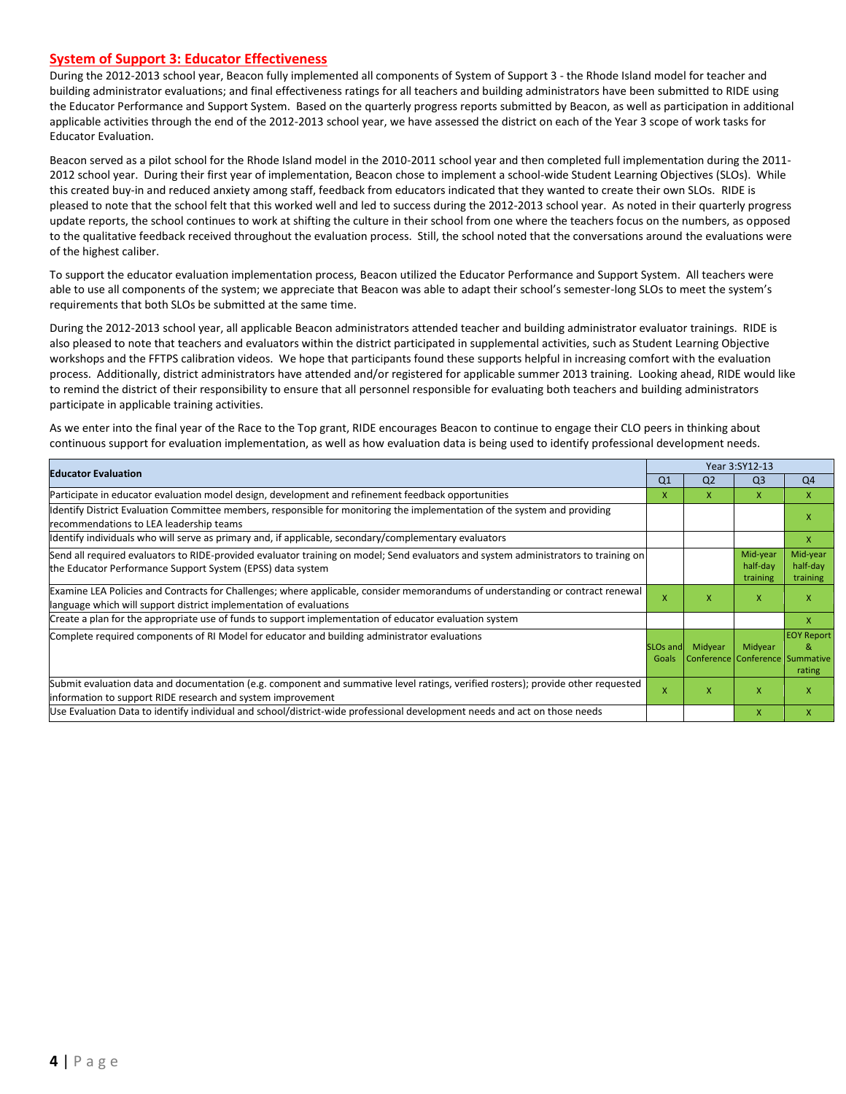#### **System of Support 3: Educator Effectiveness**

During the 2012-2013 school year, Beacon fully implemented all components of System of Support 3 - the Rhode Island model for teacher and building administrator evaluations; and final effectiveness ratings for all teachers and building administrators have been submitted to RIDE using the Educator Performance and Support System. Based on the quarterly progress reports submitted by Beacon, as well as participation in additional applicable activities through the end of the 2012-2013 school year, we have assessed the district on each of the Year 3 scope of work tasks for Educator Evaluation.

Beacon served as a pilot school for the Rhode Island model in the 2010-2011 school year and then completed full implementation during the 2011- 2012 school year. During their first year of implementation, Beacon chose to implement a school-wide Student Learning Objectives (SLOs). While this created buy-in and reduced anxiety among staff, feedback from educators indicated that they wanted to create their own SLOs. RIDE is pleased to note that the school felt that this worked well and led to success during the 2012-2013 school year. As noted in their quarterly progress update reports, the school continues to work at shifting the culture in their school from one where the teachers focus on the numbers, as opposed to the qualitative feedback received throughout the evaluation process. Still, the school noted that the conversations around the evaluations were of the highest caliber.

To support the educator evaluation implementation process, Beacon utilized the Educator Performance and Support System. All teachers were able to use all components of the system; we appreciate that Beacon was able to adapt their school's semester-long SLOs to meet the system's requirements that both SLOs be submitted at the same time.

During the 2012-2013 school year, all applicable Beacon administrators attended teacher and building administrator evaluator trainings. RIDE is also pleased to note that teachers and evaluators within the district participated in supplemental activities, such as Student Learning Objective workshops and the FFTPS calibration videos. We hope that participants found these supports helpful in increasing comfort with the evaluation process. Additionally, district administrators have attended and/or registered for applicable summer 2013 training. Looking ahead, RIDE would like to remind the district of their responsibility to ensure that all personnel responsible for evaluating both teachers and building administrators participate in applicable training activities.

As we enter into the final year of the Race to the Top grant, RIDE encourages Beacon to continue to engage their CLO peers in thinking about continuous support for evaluation implementation, as well as how evaluation data is being used to identify professional development needs.

| <b>Educator Evaluation</b>                                                                                                                                                                           |                               |                | Year 3:SY12-13                             |                                  |
|------------------------------------------------------------------------------------------------------------------------------------------------------------------------------------------------------|-------------------------------|----------------|--------------------------------------------|----------------------------------|
|                                                                                                                                                                                                      | Q1                            | Q <sub>2</sub> | Q <sub>3</sub>                             | Q <sub>4</sub>                   |
| Participate in educator evaluation model design, development and refinement feedback opportunities                                                                                                   | x                             | X.             | X                                          | X                                |
| Identify District Evaluation Committee members, responsible for monitoring the implementation of the system and providing<br>recommendations to LEA leadership teams                                 |                               |                |                                            | x                                |
| ldentify individuals who will serve as primary and, if applicable, secondary/complementary evaluators                                                                                                |                               |                |                                            | X                                |
| Send all required evaluators to RIDE-provided evaluator training on model; Send evaluators and system administrators to training on<br>the Educator Performance Support System (EPSS) data system    |                               |                | Mid-year<br>half-day<br>training           | Mid-year<br>half-day<br>training |
| Examine LEA Policies and Contracts for Challenges; where applicable, consider memorandums of understanding or contract renewal<br>language which will support district implementation of evaluations | X                             | x              | X                                          | X                                |
| Create a plan for the appropriate use of funds to support implementation of educator evaluation system                                                                                               |                               |                |                                            | X                                |
| Complete required components of RI Model for educator and building administrator evaluations                                                                                                         | SLO <sub>s</sub> and<br>Goals | Midyear        | Midyear<br>Conference Conference Summative | <b>EOY Report</b><br>&<br>rating |
| Submit evaluation data and documentation (e.g. component and summative level ratings, verified rosters); provide other requested<br>information to support RIDE research and system improvement      | X                             | x              | X                                          | X                                |
| Use Evaluation Data to identify individual and school/district-wide professional development needs and act on those needs                                                                            |                               |                | X                                          | X                                |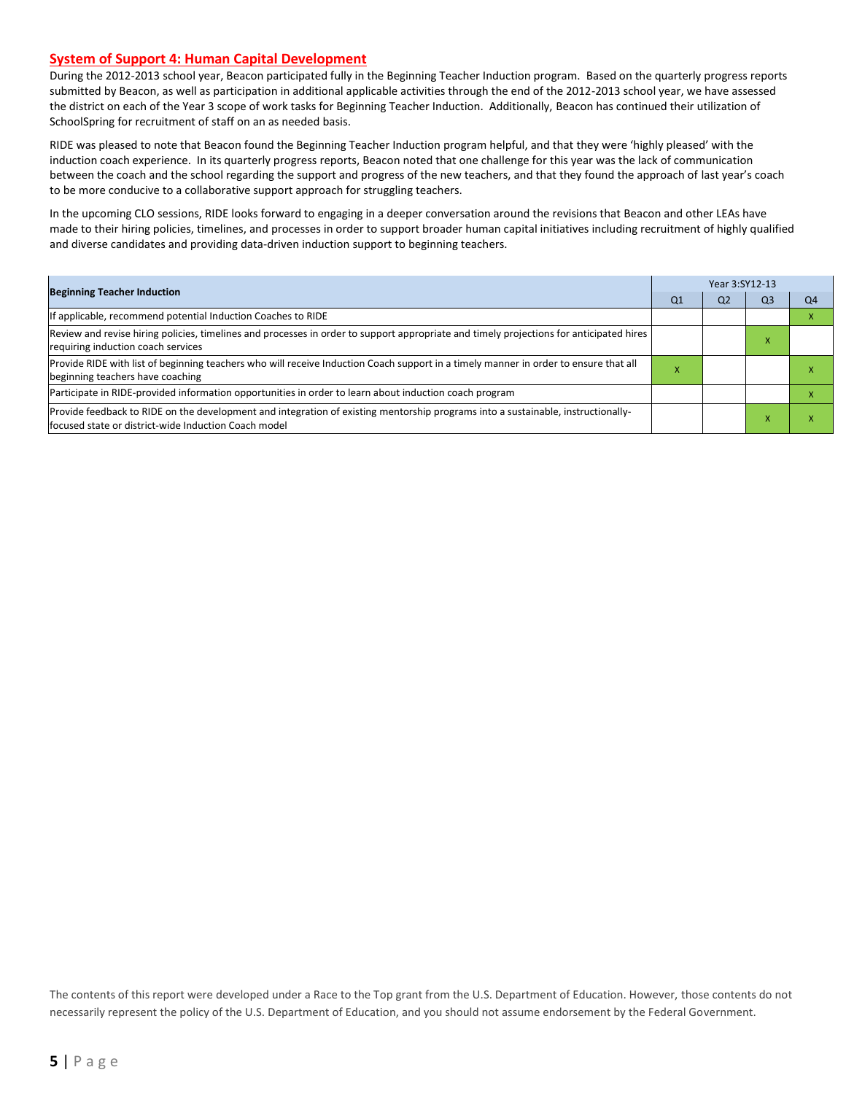#### **System of Support 4: Human Capital Development**

During the 2012-2013 school year, Beacon participated fully in the Beginning Teacher Induction program. Based on the quarterly progress reports submitted by Beacon, as well as participation in additional applicable activities through the end of the 2012-2013 school year, we have assessed the district on each of the Year 3 scope of work tasks for Beginning Teacher Induction. Additionally, Beacon has continued their utilization of SchoolSpring for recruitment of staff on an as needed basis.

RIDE was pleased to note that Beacon found the Beginning Teacher Induction program helpful, and that they were 'highly pleased' with the induction coach experience. In its quarterly progress reports, Beacon noted that one challenge for this year was the lack of communication between the coach and the school regarding the support and progress of the new teachers, and that they found the approach of last year's coach to be more conducive to a collaborative support approach for struggling teachers.

In the upcoming CLO sessions, RIDE looks forward to engaging in a deeper conversation around the revisions that Beacon and other LEAs have made to their hiring policies, timelines, and processes in order to support broader human capital initiatives including recruitment of highly qualified and diverse candidates and providing data-driven induction support to beginning teachers.

| <b>Beginning Teacher Induction</b>                                                                                                                                                        |    | Year 3:SY12-13 |    |    |  |  |  |
|-------------------------------------------------------------------------------------------------------------------------------------------------------------------------------------------|----|----------------|----|----|--|--|--|
|                                                                                                                                                                                           | Q1 | Q2             | Q3 | Q4 |  |  |  |
| If applicable, recommend potential Induction Coaches to RIDE                                                                                                                              |    |                |    |    |  |  |  |
| Review and revise hiring policies, timelines and processes in order to support appropriate and timely projections for anticipated hires<br>requiring induction coach services             |    |                | ⋏  |    |  |  |  |
| Provide RIDE with list of beginning teachers who will receive Induction Coach support in a timely manner in order to ensure that all<br>beginning teachers have coaching                  |    |                |    |    |  |  |  |
| Participate in RIDE-provided information opportunities in order to learn about induction coach program                                                                                    |    |                |    |    |  |  |  |
| Provide feedback to RIDE on the development and integration of existing mentorship programs into a sustainable, instructionally-<br>lfocused state or district-wide Induction Coach model |    |                |    |    |  |  |  |

The contents of this report were developed under a Race to the Top grant from the U.S. Department of Education. However, those contents do not necessarily represent the policy of the U.S. Department of Education, and you should not assume endorsement by the Federal Government.